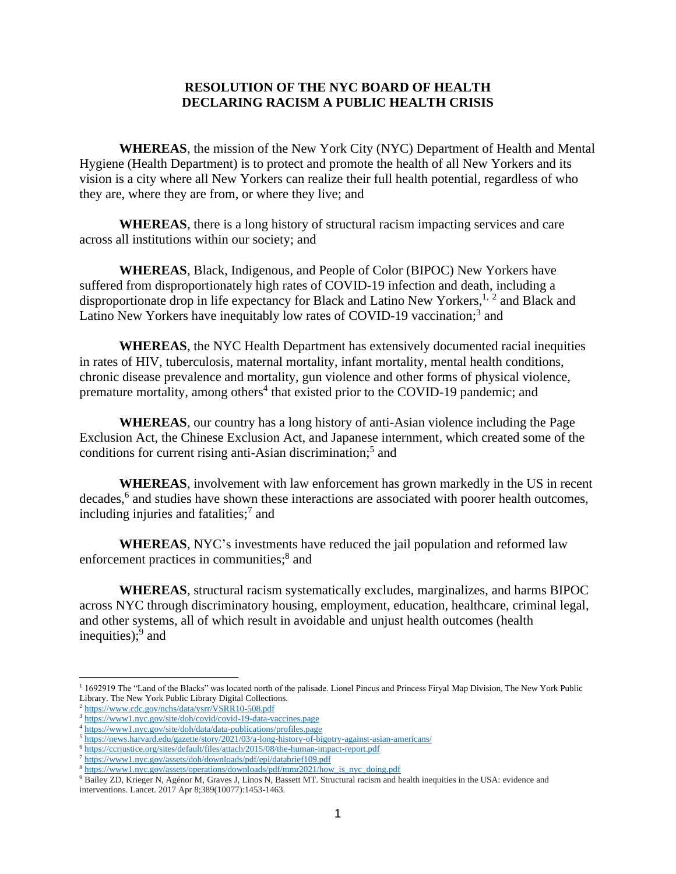## **RESOLUTION OF THE NYC BOARD OF HEALTH DECLARING RACISM A PUBLIC HEALTH CRISIS**

**WHEREAS**, the mission of the New York City (NYC) Department of Health and Mental Hygiene (Health Department) is to protect and promote the health of all New Yorkers and its vision is a city where all New Yorkers can realize their full health potential, regardless of who they are, where they are from, or where they live; and

**WHEREAS**, there is a long history of structural racism impacting services and care across all institutions within our society; and

**WHEREAS**, Black, Indigenous, and People of Color (BIPOC) New Yorkers have suffered from disproportionately high rates of COVID-19 infection and death, including a disproportionate drop in life expectancy for Black and Latino New Yorkers,<sup>1, 2</sup> and Black and Latino New Yorkers have inequitably low rates of COVID-19 vaccination;<sup>3</sup> and

**WHEREAS**, the NYC Health Department has extensively documented racial inequities in rates of HIV, tuberculosis, maternal mortality, infant mortality, mental health conditions, chronic disease prevalence and mortality, gun violence and other forms of physical violence, premature mortality, among others<sup>4</sup> that existed prior to the COVID-19 pandemic; and

**WHEREAS**, our country has a long history of anti-Asian violence including the Page Exclusion Act, the Chinese Exclusion Act, and Japanese internment, which created some of the conditions for current rising anti-Asian discrimination;<sup>5</sup> and

**WHEREAS**, involvement with law enforcement has grown markedly in the US in recent decades,<sup>6</sup> and studies have shown these interactions are associated with poorer health outcomes, including injuries and fatalities; 7 and

**WHEREAS**, NYC's investments have reduced the jail population and reformed law enforcement practices in communities;<sup>8</sup> and

**WHEREAS**, structural racism systematically excludes, marginalizes, and harms BIPOC across NYC through discriminatory housing, employment, education, healthcare, criminal legal, and other systems, all of which result in avoidable and unjust health outcomes (health inequities);<sup>9</sup> and

<sup>&</sup>lt;sup>1</sup> 1692919 The "Land of the Blacks" was located north of the palisade. Lionel Pincus and Princess Firyal Map Division, The New York Public Library. The New York Public Library Digital Collections.

<sup>2</sup> <https://www.cdc.gov/nchs/data/vsrr/VSRR10-508.pdf>

<sup>3</sup> <https://www1.nyc.gov/site/doh/covid/covid-19-data-vaccines.page>

<sup>4</sup> <https://www1.nyc.gov/site/doh/data/data-publications/profiles.page>

<sup>5</sup> <https://news.harvard.edu/gazette/story/2021/03/a-long-history-of-bigotry-against-asian-americans/>

<sup>6</sup> <https://ccrjustice.org/sites/default/files/attach/2015/08/the-human-impact-report.pdf>

<sup>7</sup> <https://www1.nyc.gov/assets/doh/downloads/pdf/epi/databrief109.pdf>

<sup>8</sup> [https://www1.nyc.gov/assets/operations/downloads/pdf/mmr2021/how\\_is\\_nyc\\_doing.pdf](https://www1.nyc.gov/assets/operations/downloads/pdf/mmr2021/how_is_nyc_doing.pdf)

<sup>&</sup>lt;sup>9</sup> Bailey ZD, Krieger N, Agénor M, Graves J, Linos N, Bassett MT. Structural racism and health inequities in the USA: evidence and interventions. Lancet. 2017 Apr 8;389(10077):1453-1463.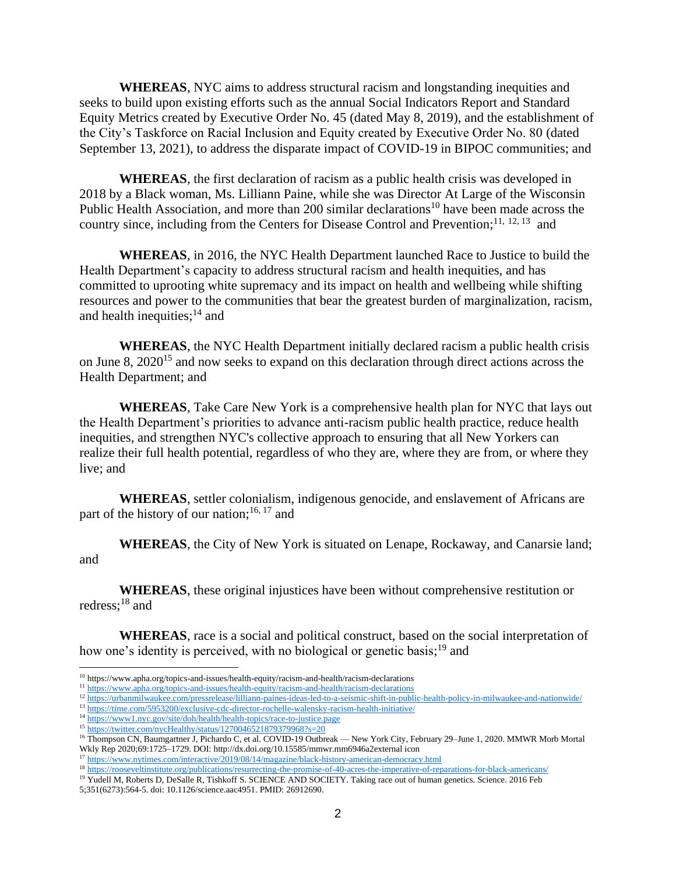**WHEREAS**, NYC aims to address structural racism and longstanding inequities and seeks to build upon existing efforts such as the annual Social Indicators Report and Standard Equity Metrics created by Executive Order No. 45 (dated May 8, 2019), and the establishment of the City's Taskforce on Racial Inclusion and Equity created by Executive Order No. 80 (dated September 13, 2021), to address the disparate impact of COVID-19 in BIPOC communities; and

**WHEREAS**, the first declaration of racism as a public health crisis was developed in 2018 by a Black woman, Ms. Lilliann Paine, while she was Director At Large of the Wisconsin Public Health Association, and more than 200 similar declarations<sup>10</sup> have been made across the country since, including from the Centers for Disease Control and Prevention;<sup>11, 12, 13</sup> and

**WHEREAS**, in 2016, the NYC Health Department launched Race to Justice to build the Health Department's capacity to address structural racism and health inequities, and has committed to uprooting white supremacy and its impact on health and wellbeing while shifting resources and power to the communities that bear the greatest burden of marginalization, racism, and health inequities;<sup>14</sup> and

**WHEREAS**, the NYC Health Department initially declared racism a public health crisis on June 8, 2020<sup>15</sup> and now seeks to expand on this declaration through direct actions across the Health Department; and

**WHEREAS**, Take Care New York is a comprehensive health plan for NYC that lays out the Health Department's priorities to advance anti-racism public health practice, reduce health inequities, and strengthen NYC's collective approach to ensuring that all New Yorkers can realize their full health potential, regardless of who they are, where they are from, or where they live; and

**WHEREAS**, settler colonialism, indigenous genocide, and enslavement of Africans are part of the history of our nation;<sup>16, 17</sup> and

**WHEREAS**, the City of New York is situated on Lenape, Rockaway, and Canarsie land; and

**WHEREAS**, these original injustices have been without comprehensive restitution or redress; <sup>18</sup> and

**WHEREAS**, race is a social and political construct, based on the social interpretation of how one's identity is perceived, with no biological or genetic basis;<sup>19</sup> and

<sup>19</sup> Yudell M, Roberts D, DeSalle R, Tishkoff S. SCIENCE AND SOCIETY. Taking race out of human genetics. Science. 2016 Feb 5;351(6273):564-5. doi: 10.1126/science.aac4951. PMID: 26912690.

<sup>10</sup> https://www.apha.org/topics-and-issues/health-equity/racism-and-health/racism-declarations

<sup>11</sup> <https://www.apha.org/topics-and-issues/health-equity/racism-and-health/racism-declarations>

<sup>&</sup>lt;sup>12</sup> <https://urbanmilwaukee.com/pressrelease/lilliann-paines-ideas-led-to-a-seismic-shift-in-public-health-policy-in-milwaukee-and-nationwide/>

<sup>13</sup> <https://time.com/5953200/exclusive-cdc-director-rochelle-walensky-racism-health-initiative/>

<sup>&</sup>lt;sup>14</sup> <https://www1.nyc.gov/site/doh/health/health-topics/race-to-justice.page>

<sup>15</sup> <https://twitter.com/nycHealthy/status/1270046521879379968?s=20>

<sup>16</sup> Thompson CN, Baumgartner J, Pichardo C, et al. COVID-19 Outbreak — New York City, February 29–June 1, 2020. MMWR Morb Mortal Wkly Rep 2020;69:1725–1729. DOI: http://dx.doi.org/10.15585/mmwr.mm6946a2external icon

<sup>&</sup>lt;sup>17</sup> <https://www.nytimes.com/interactive/2019/08/14/magazine/black-history-american-democracy.html>

<sup>18</sup> <https://rooseveltinstitute.org/publications/resurrecting-the-promise-of-40-acres-the-imperative-of-reparations-for-black-americans/>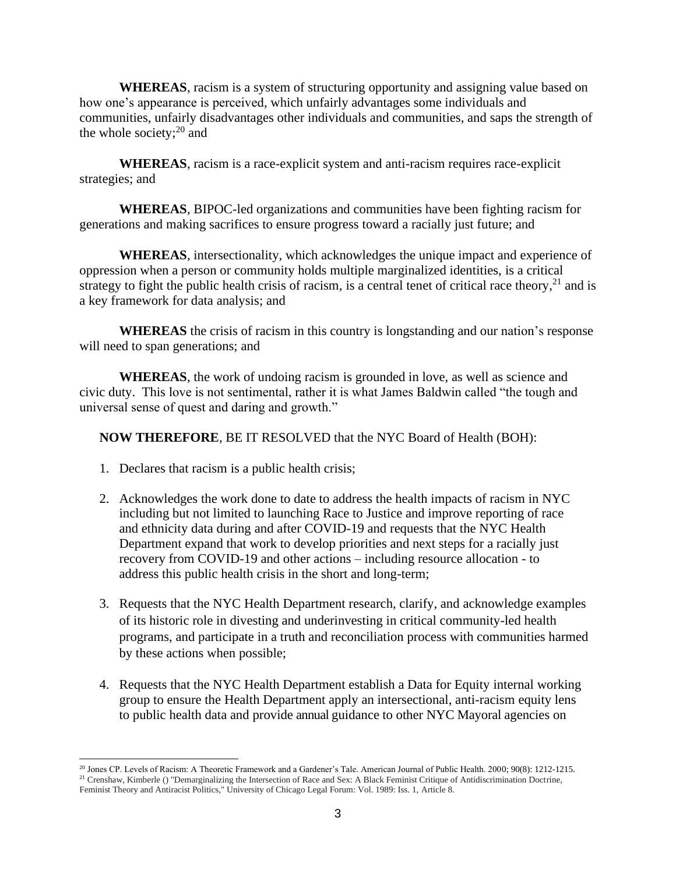**WHEREAS**, racism is a system of structuring opportunity and assigning value based on how one's appearance is perceived, which unfairly advantages some individuals and communities, unfairly disadvantages other individuals and communities, and saps the strength of the whole society;<sup>20</sup> and

**WHEREAS**, racism is a race-explicit system and anti-racism requires race-explicit strategies; and

**WHEREAS**, BIPOC-led organizations and communities have been fighting racism for generations and making sacrifices to ensure progress toward a racially just future; and

**WHEREAS**, intersectionality, which acknowledges the unique impact and experience of oppression when a person or community holds multiple marginalized identities, is a critical strategy to fight the public health crisis of racism, is a central tenet of critical race theory, $21$  and is a key framework for data analysis; and

**WHEREAS** the crisis of racism in this country is longstanding and our nation's response will need to span generations; and

**WHEREAS**, the work of undoing racism is grounded in love, as well as science and civic duty. This love is not sentimental, rather it is what James Baldwin called "the tough and universal sense of quest and daring and growth."

**NOW THEREFORE**, BE IT RESOLVED that the NYC Board of Health (BOH):

- 1. Declares that racism is a public health crisis;
- 2. Acknowledges the work done to date to address the health impacts of racism in NYC including but not limited to launching Race to Justice and improve reporting of race and ethnicity data during and after COVID-19 and requests that the NYC Health Department expand that work to develop priorities and next steps for a racially just recovery from COVID-19 and other actions – including resource allocation - to address this public health crisis in the short and long-term;
- 3. Requests that the NYC Health Department research, clarify, and acknowledge examples of its historic role in divesting and underinvesting in critical community-led health programs, and participate in a truth and reconciliation process with communities harmed by these actions when possible;
- 4. Requests that the NYC Health Department establish a Data for Equity internal working group to ensure the Health Department apply an intersectional, anti-racism equity lens to public health data and provide annual guidance to other NYC Mayoral agencies on

<sup>20</sup> Jones CP. Levels of Racism: A Theoretic Framework and a Gardener's Tale. American Journal of Public Health. 2000; 90(8): 1212-1215. <sup>21</sup> Crenshaw, Kimberle () "Demarginalizing the Intersection of Race and Sex: A Black Feminist Critique of Antidiscrimination Doctrine, Feminist Theory and Antiracist Politics," University of Chicago Legal Forum: Vol. 1989: Iss. 1, Article 8.